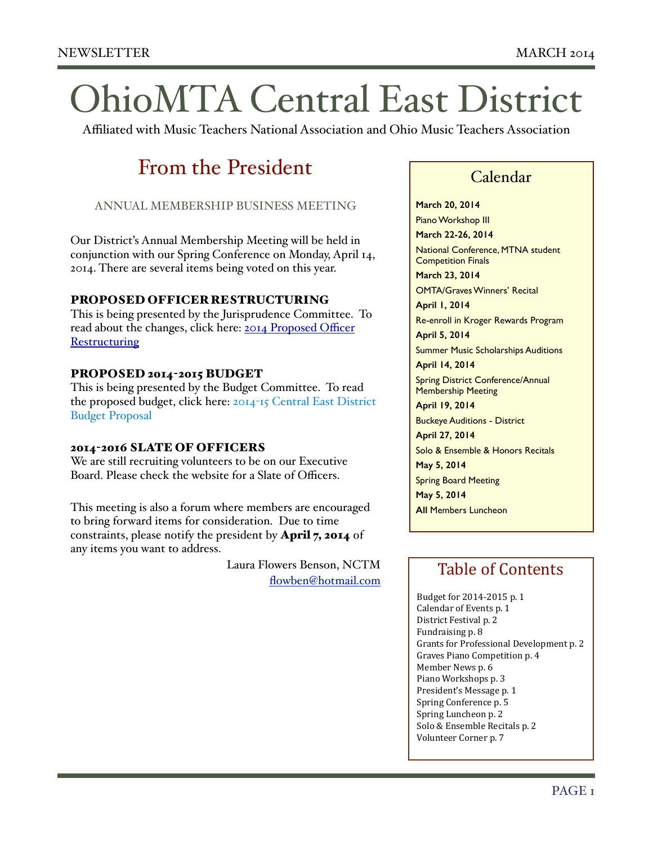# OhioMTA Central East District

Affiliated with Music Teachers National Association and Ohio Music Teachers Association

# From the President

ANNUAL MEMBERSHIP BUSINESS MEETING

Our District's Annual Membership Meeting will be held in conjunction with our Spring Conference on Monday, April 14, 2014. There are several items being voted on this year.

#### PROPOSED OFFICER RESTRUCTURING

This is being presented by the Jurisprudence Committee. To [read about the changes, click here: 2014 Proposed O](http://www.ceomta.org/wp-content/uploads/2012/08/2014-Proposed-Officer-Restructuring.pdf)fficer **Restructuring** 

#### PROPOSED 2014-2015 BUDGET

This is being presented by the Budget Committee. To read [the proposed budget, click here: 2014](http://www.ceomta.org/wp-content/uploads/2012/08/2014-15-Central-East-District-Budget-Proposal.pdf)-15 Central East District Budget Proposal

#### 2014-2016 SLATE OF OFFICERS

We are still recruiting volunteers to be on our Executive Board. Please check the website for a Slate of Officers.

This meeting is also a forum where members are encouraged to bring forward items for consideration. Due to time constraints, please notify the president by April 7, 2014 of any items you want to address.

> Laura Flowers Benson, NCTM [flowben@hotmail.com](mailto:flowben@hotmail.com)

### Calendar

**March 20, 2014**

Piano Workshop III

**March 22-26, 2014** National Conference, MTNA student Competition Finals

**March 23, 2014**

OMTA/Graves Winners' Recital

**April 1, 2014** Re-enroll in Kroger Rewards Program

**April 5, 2014**

Summer Music Scholarships Auditions **April 14, 2014**

Spring District Conference/Annual Membership Meeting

**April 19, 2014**

Buckeye Auditions - District

**April 27, 2014** Solo & Ensemble & Honors Recitals

**May 5, 2014**

Spring Board Meeting **May 5, 2014**

**All** Members Luncheon

### Table of Contents

Budget for 2014-2015 p. 1 Calendar of Events p. 1 District Festival p. 2 Fundraising p. 8 Grants for Professional Development p. 2 Graves Piano Competition p. 4 Member News p. 6 Piano Workshops p. 3 President's Message p. 1 Spring Conference p. 5 Spring Luncheon p. 2 Solo & Ensemble Recitals p. 2 Volunteer Corner p. 7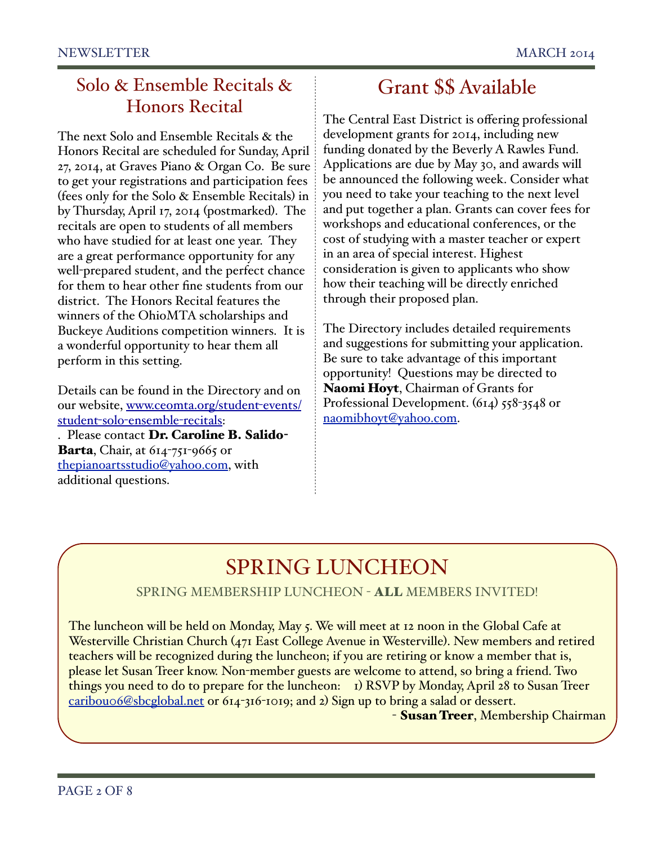### Solo & Ensemble Recitals & Honors Recital

The next Solo and Ensemble Recitals & the Honors Recital are scheduled for Sunday, April 27, 2014, at Graves Piano & Organ Co. Be sure to get your registrations and participation fees (fees only for the Solo & Ensemble Recitals) in by Thursday, April 17, 2014 (postmarked). The recitals are open to students of all members who have studied for at least one year. They are a great performance opportunity for any well-prepared student, and the perfect chance for them to hear other fine students from our district. The Honors Recital features the winners of the OhioMTA scholarships and Buckeye Auditions competition winners. It is a wonderful opportunity to hear them all perform in this setting.

Details can be found in the Directory and on our website, www.ceomta.org/student-events/ student-solo-ensemble-recitals: . Please contact Dr. Caroline B. Salido-Barta, Chair, at 614-751-9665 or

thepianoartsstudio@yahoo.com, with additional questions.

# Grant \$\$ Available

The Central East District is offering professional development grants for 2014, including new funding donated by the Beverly A Rawles Fund. Applications are due by May 30, and awards will be announced the following week. Consider what you need to take your teaching to the next level and put together a plan. Grants can cover fees for workshops and educational conferences, or the cost of studying with a master teacher or expert in an area of special interest. Highest consideration is given to applicants who show how their teaching will be directly enriched through their proposed plan.

The Directory includes detailed requirements and suggestions for submitting your application. Be sure to take advantage of this important opportunity! Questions may be directed to Naomi Hoyt, Chairman of Grants for Professional Development. (614) 558-3548 or naomibhoyt@yahoo.com.

# SPRING LUNCHEON

### SPRING MEMBERSHIP LUNCHEON - ALL MEMBERS INVITED!

The luncheon will be held on Monday, May 5. We will meet at 12 noon in the Global Cafe at Westerville Christian Church (471 East College Avenue in Westerville). New members and retired teachers will be recognized during the luncheon; if you are retiring or know a member that is, please let Susan Treer know. Non-member guests are welcome to attend, so bring a friend. Two things you need to do to prepare for the luncheon: 1) RSVP by Monday, April 28 to Susan Treer caribou06@sbcglobal.net or 614-316-1019; and 2) Sign up to bring a salad or dessert.

- Susan Treer, Membership Chairman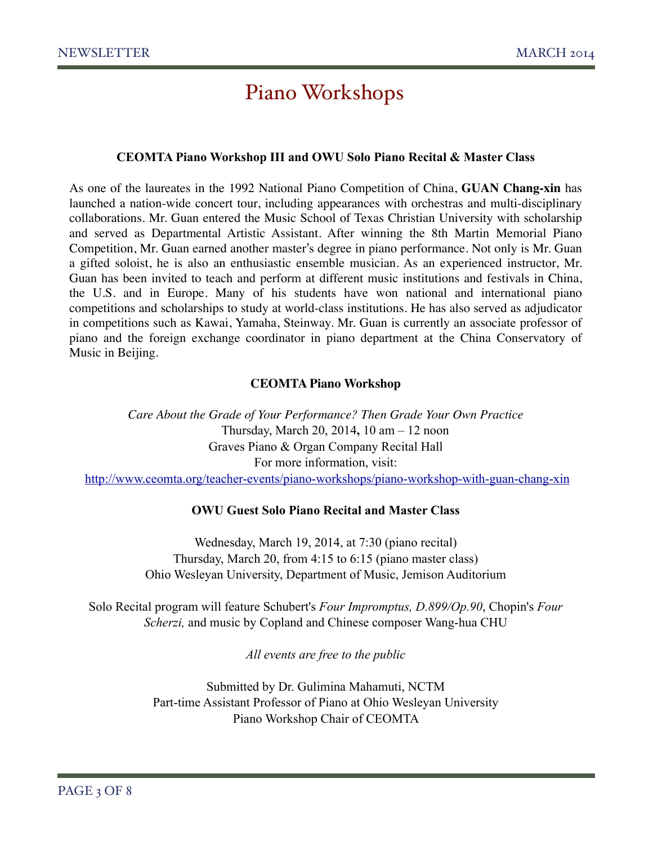# Piano Workshops

#### **CEOMTA Piano Workshop III and OWU Solo Piano Recital & Master Class**

As one of the laureates in the 1992 National Piano Competition of China, **GUAN Chang-xin** has launched a nation-wide concert tour, including appearances with orchestras and multi-disciplinary collaborations. Mr. Guan entered the Music School of Texas Christian University with scholarship and served as Departmental Artistic Assistant. After winning the 8th Martin Memorial Piano Competition, Mr. Guan earned another master's degree in piano performance. Not only is Mr. Guan a gifted soloist, he is also an enthusiastic ensemble musician. As an experienced instructor, Mr. Guan has been invited to teach and perform at different music institutions and festivals in China, the U.S. and in Europe. Many of his students have won national and international piano competitions and scholarships to study at world-class institutions. He has also served as adjudicator in competitions such as Kawai, Yamaha, Steinway. Mr. Guan is currently an associate professor of piano and the foreign exchange coordinator in piano department at the China Conservatory of Music in Beijing.

#### **CEOMTA Piano Workshop**

*Care About the Grade of Your Performance? Then Grade Your Own Practice* Thursday, March 20, 2014**,** 10 am – 12 noon Graves Piano & Organ Company Recital Hall For more information, visit: http://www.ceomta.org/teacher-events/piano-workshops/piano-workshop-with-guan-chang-xin

#### **OWU Guest Solo Piano Recital and Master Class**

Wednesday, March 19, 2014, at 7:30 (piano recital) Thursday, March 20, from 4:15 to 6:15 (piano master class) Ohio Wesleyan University, Department of Music, Jemison Auditorium

Solo Recital program will feature Schubert's *Four Impromptus, D.899/Op.90*, Chopin's *Four Scherzi,* and music by Copland and Chinese composer Wang-hua CHU

*All events are free to the public* 

Submitted by Dr. Gulimina Mahamuti, NCTM Part-time Assistant Professor of Piano at Ohio Wesleyan University Piano Workshop Chair of CEOMTA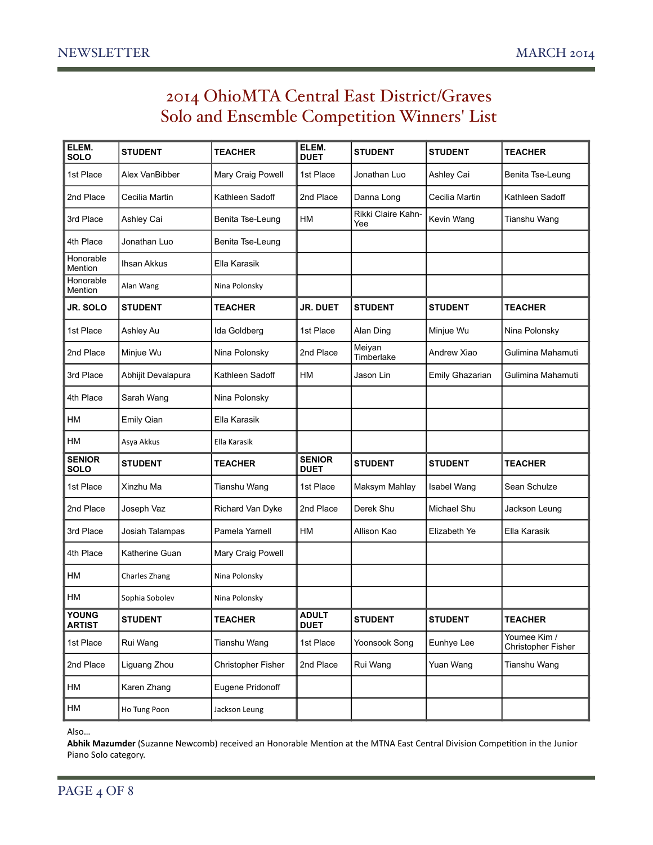### 2014 OhioMTA Central East District/Graves Solo and Ensemble Competition Winners' List

| ELEM.<br><b>SOLO</b>          | <b>STUDENT</b>     | <b>TEACHER</b>     | ELEM.<br><b>DUET</b>         | <b>STUDENT</b>            | <b>STUDENT</b>  | <b>TEACHER</b>                     |
|-------------------------------|--------------------|--------------------|------------------------------|---------------------------|-----------------|------------------------------------|
| 1st Place                     | Alex VanBibber     | Mary Craig Powell  | 1st Place                    | Jonathan Luo              | Ashley Cai      | Benita Tse-Leung                   |
| 2nd Place                     | Cecilia Martin     | Kathleen Sadoff    | 2nd Place                    | Danna Long                | Cecilia Martin  | Kathleen Sadoff                    |
| 3rd Place                     | Ashley Cai         | Benita Tse-Leung   | НM                           | Rikki Claire Kahn-<br>Yee | Kevin Wang      | Tianshu Wang                       |
| 4th Place                     | Jonathan Luo       | Benita Tse-Leung   |                              |                           |                 |                                    |
| Honorable<br>Mention          | Ihsan Akkus        | Ella Karasik       |                              |                           |                 |                                    |
| Honorable<br>Mention          | Alan Wang          | Nina Polonsky      |                              |                           |                 |                                    |
| JR. SOLO                      | <b>STUDENT</b>     | <b>TEACHER</b>     | JR. DUET                     | <b>STUDENT</b>            | <b>STUDENT</b>  | TEACHER                            |
| 1st Place                     | Ashley Au          | Ida Goldberg       | 1st Place                    | Alan Ding                 | Minjue Wu       | Nina Polonsky                      |
| 2nd Place                     | Minjue Wu          | Nina Polonsky      | 2nd Place                    | Meiyan<br>Timberlake      | Andrew Xiao     | Gulimina Mahamuti                  |
| 3rd Place                     | Abhijit Devalapura | Kathleen Sadoff    | <b>HM</b>                    | Jason Lin                 | Emily Ghazarian | Gulimina Mahamuti                  |
| 4th Place                     | Sarah Wang         | Nina Polonsky      |                              |                           |                 |                                    |
| НM                            | <b>Emily Qian</b>  | Ella Karasik       |                              |                           |                 |                                    |
| НM                            | Asya Akkus         | Ella Karasik       |                              |                           |                 |                                    |
| <b>SENIOR</b><br>SOLO         | <b>STUDENT</b>     | <b>TEACHER</b>     | <b>SENIOR</b><br><b>DUET</b> | <b>STUDENT</b>            | <b>STUDENT</b>  | <b>TEACHER</b>                     |
| 1st Place                     | Xinzhu Ma          | Tianshu Wang       | 1st Place                    | Maksym Mahlay             | Isabel Wang     | Sean Schulze                       |
| 2nd Place                     | Joseph Vaz         | Richard Van Dyke   | 2nd Place                    | Derek Shu                 | Michael Shu     | Jackson Leung                      |
| 3rd Place                     | Josiah Talampas    | Pamela Yarnell     | HM                           | Allison Kao               | Elizabeth Ye    | Ella Karasik                       |
| 4th Place                     | Katherine Guan     | Mary Craig Powell  |                              |                           |                 |                                    |
| HM                            | Charles Zhang      | Nina Polonsky      |                              |                           |                 |                                    |
| НM                            | Sophia Sobolev     | Nina Polonsky      |                              |                           |                 |                                    |
| <b>YOUNG</b><br><b>ARTIST</b> | <b>STUDENT</b>     | <b>TEACHER</b>     | <b>ADULT</b><br><b>DUET</b>  | <b>STUDENT</b>            | <b>STUDENT</b>  | <b>TEACHER</b>                     |
| 1st Place                     | Rui Wang           | Tianshu Wang       | 1st Place                    | Yoonsook Song             | Eunhye Lee      | Youmee Kim /<br>Christopher Fisher |
| 2nd Place                     | Liguang Zhou       | Christopher Fisher | 2nd Place                    | Rui Wang                  | Yuan Wang       | Tianshu Wang                       |
| HM                            | Karen Zhang        | Eugene Pridonoff   |                              |                           |                 |                                    |
| HM                            | Ho Tung Poon       | Jackson Leung      |                              |                           |                 |                                    |

Also…&

Abhik Mazumder (Suzanne Newcomb) received an Honorable Mention at the MTNA East Central Division Competition in the Junior Piano Solo category.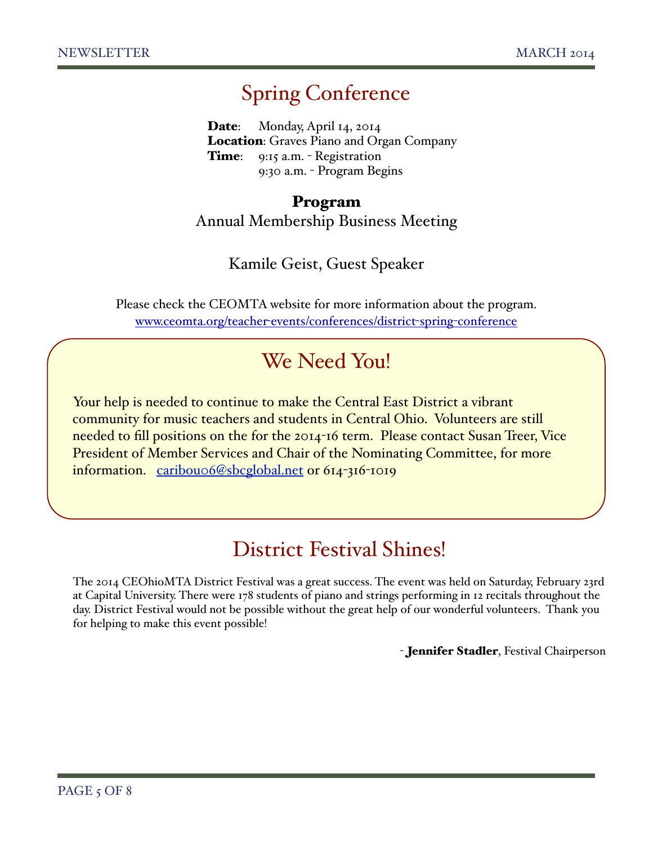# Spring Conference

Date: Monday, April 14, 2014 Location: Graves Piano and Organ Company Time: 9:15 a.m. - Registration ! ! 9:30 a.m. - Program Begins

### Program Annual Membership Business Meeting

### Kamile Geist, Guest Speaker

Please check the CEOMTA website for more information about the program. www.ceomta.org/teacher-events/conferences/district-spring-conference

# We Need You!

Your help is needed to continue to make the Central East District a vibrant community for music teachers and students in Central Ohio. Volunteers are still needed to fill positions on the for the 2014-16 term. Please contact Susan Treer, Vice President of Member Services and Chair of the Nominating Committee, for more information. caribou06@sbcglobal.net or 614-316-1019

# District Festival Shines!

The 2014 CEOhioMTA District Festival was a great success. The event was held on Saturday, February 23rd at Capital University. There were 178 students of piano and strings performing in 12 recitals throughout the day. District Festival would not be possible without the great help of our wonderful volunteers. Thank you for helping to make this event possible!

- Jennifer Stadler, Festival Chairperson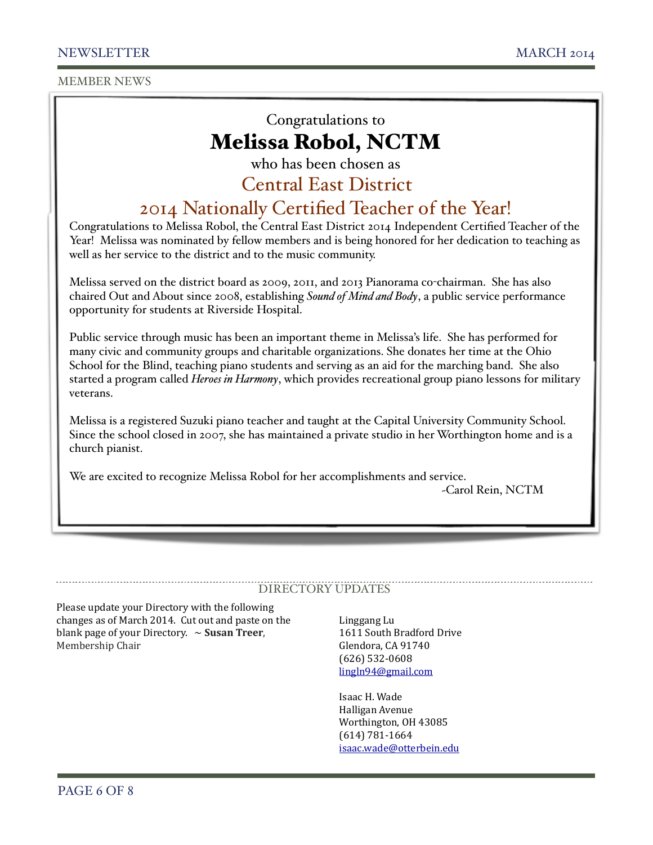MEMBER NEWS

### Congratulations to Melissa Robol, NCTM

who has been chosen as

### Central East District

### 2014 Nationally Certified Teacher of the Year!

Congratulations to Melissa Robol, the Central East District 2014 Independent Certified Teacher of the Year! Melissa was nominated by fellow members and is being honored for her dedication to teaching as well as her service to the district and to the music community.

Melissa served on the district board as 2009, 2011, and 2013 Pianorama co-chairman. She has also chaired Out and About since 2008, establishing *Sound of Mind and Body*, a public service performance opportunity for students at Riverside Hospital.

Public service through music has been an important theme in Melissa's life. She has performed for many civic and community groups and charitable organizations. She donates her time at the Ohio School for the Blind, teaching piano students and serving as an aid for the marching band. She also started a program called *Heroes in Harmony*, which provides recreational group piano lessons for military veterans.

Melissa is a registered Suzuki piano teacher and taught at the Capital University Community School. Since the school closed in 2007, she has maintained a private studio in her Worthington home and is a church pianist.

We are excited to recognize Melissa Robol for her accomplishments and service.

~Carol Rein, NCTM

### DIRECTORY UPDATES

Please update your Directory with the following changes as of March 2014. Cut out and paste on the blank page of your Directory.  $\sim$  **Susan Treer**, Membership Chair

Linggang Lu 1611 South Bradford Drive Glendora, CA 91740 (626) 532-0608 lingln94@gmail.com

Isaac H. Wade Halligan Avenue Worthington, OH 43085 (614) 781-1664 isaac.wade@otterbein.edu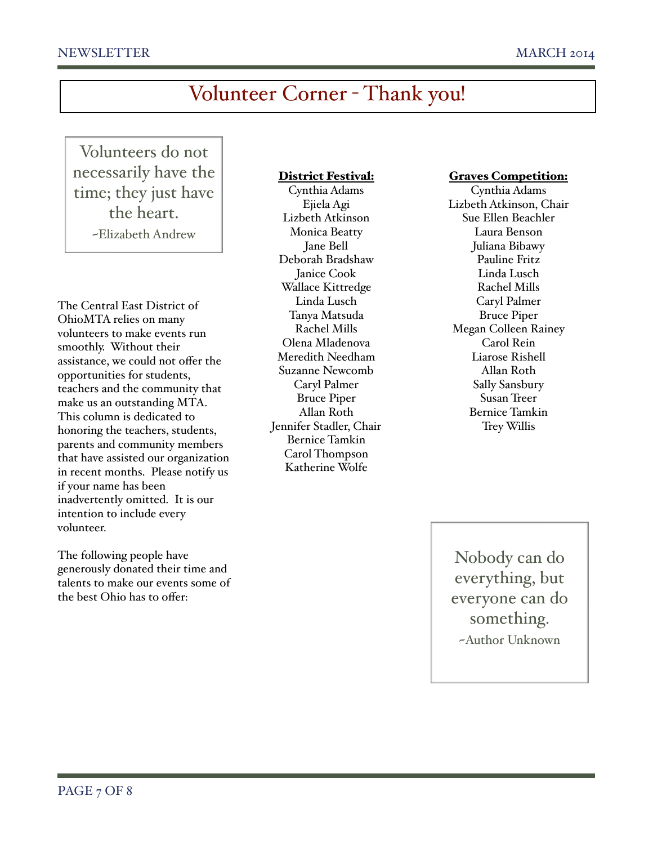# Volunteer Corner - Thank you!

Volunteers do not necessarily have the time; they just have the heart. ~Elizabeth Andrew

The Central East District of OhioMTA relies on many volunteers to make events run smoothly. Without their assistance, we could not offer the opportunities for students, teachers and the community that make us an outstanding MTA. This column is dedicated to honoring the teachers, students, parents and community members that have assisted our organization in recent months. Please notify us if your name has been inadvertently omitted. It is our intention to include every volunteer.

The following people have generously donated their time and talents to make our events some of the best Ohio has to offer:

#### District Festival:

Cynthia Adams Ejiela Agi Lizbeth Atkinson Monica Beatty Jane Bell Deborah Bradshaw Janice Cook Wallace Kittredge Linda Lusch Tanya Matsuda Rachel Mills Olena Mladenova Meredith Needham Suzanne Newcomb Caryl Palmer Bruce Piper Allan Roth Jennifer Stadler, Chair Bernice Tamkin Carol Thompson Katherine Wolfe

#### Graves Competition:

Cynthia Adams Lizbeth Atkinson, Chair Sue Ellen Beachler Laura Benson Juliana Bibawy Pauline Fritz Linda Lusch Rachel Mills Caryl Palmer Bruce Piper Megan Colleen Rainey Carol Rein Liarose Rishell Allan Roth Sally Sansbury Susan Treer Bernice Tamkin Trey Willis

Nobody can do everything, but everyone can do something. ~Author Unknown